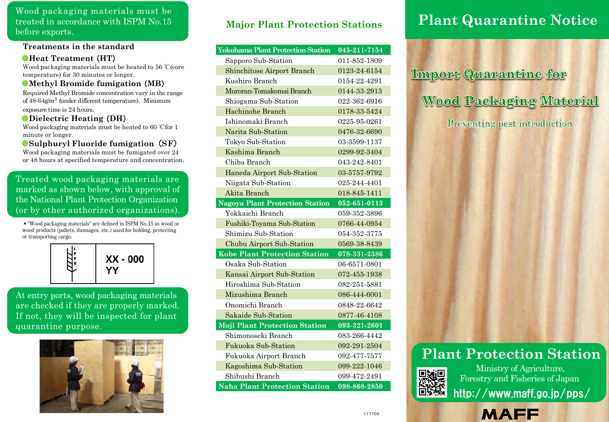Wood packaging materials must be treated in accordance with ISPM No.15 before exports.

## **Treatments in the standard**

## ●**Heat Treatment** (**HT**)

Wood packaging materials must be heated to 56 ℃(core temperature) for 30 minutes or longer.

#### ●**Methyl Bromide fumigation** (**MB**)

Required Methyl Bromide concentration vary in the range of 48-64g/m<sup>3</sup> (under different temperature). Minimum exposure time is 24 hours.

#### ●**Dielectric Heating** (**DH**)

Wood packaging materials must be heated to 60 ℃for 1 minute or longer.

## ●**Sulphuryl Fluoride fumigation**(**SF**)

Wood packaging materials must be fumigated over 24 or 48 hours at specified temperature and concentration.

## Treated wood packaging materials are marked as shown below, with approval of the National Plant Protection Organization (or by other authorized organizations).

\*"Wood packaging materials" are defined in ISPM No.15 as wood or wood products (pallets, dunnages, etc.) used for holding, protecting or transporting cargo.



At entry ports, wood packaging materials are checked if they are properly marked. If not, they will be inspected for plant quarantine purpose.



## **Major Plant Protection Stations**

| <b>Yokohama Plant Protection Station</b> | 045-211-7154                  |
|------------------------------------------|-------------------------------|
| Sapporo Sub-Station                      | 011-852-1809                  |
| <b>Shinchitose Airport Branch</b>        | 0123-24-6154                  |
| Kushiro Branch                           | 0154-22-4291                  |
| Muroran-Tomakomai Branch                 | 0144-33-2913                  |
| Shiogama Sub-Station                     | 022-362-6916                  |
| Hachinohe Branch                         | 0178-33-5424                  |
| Ishinomaki Branch                        | 0225-95-0261                  |
| Narita Sub-Station                       | 0476-32-6690                  |
| Tokyo Sub-Station                        | 03-3599-1137                  |
| Kashima Branch                           | 0299-92-3404                  |
| Chiba Branch                             | 043-242-8401                  |
| Haneda Airport Sub-Station               | 03-5757-9792                  |
| Niigata Sub-Station                      | 025-244-4401                  |
| Akita Branch                             | 018-845-1411                  |
| <b>Nagoya Plant Protection Station</b>   | 052-651-0113                  |
| Yokkaichi Branch                         | 059-352-3896                  |
| Fushiki-Toyama Sub-Station               | 0766-44-0954                  |
| Shimizu Sub-Station                      | 054-352-3775                  |
| Chubu Airport Sub-Station                | 0569-38-8439                  |
| <b>Kobe Plant Protection Station</b>     | $\overline{078} - 331 - 2386$ |
| Osaka Sub-Station                        | 06-6571-0801                  |
| Kansai Airport Sub-Station               | 072-455-1938                  |
| Hiroshima Sub-Station                    | 082-251-5881                  |
| Mizushima Branch                         | 086-444-6001                  |
| Onomichi Branch                          | 0848-22-6642                  |
| Sakaide Sub-Station                      | 0877-46-4108                  |
| <b>Moji Plant Protection Station</b>     | 093-321-2601                  |
| Shimonoseki Branch                       | 083-266-4442                  |
| <b>Fukuoka Sub-Station</b>               | 092-291-2504                  |
| Fukuoka Airport Branch                   | 092-477-7577                  |
| Kagoshima Sub-Station                    | 099-222-1046                  |
| Shibushi Branch                          | 099-472-2491                  |
| <b>Naha Plant Protection Station</b>     | $098 - 868 - 2850$            |

# **Plant Quarantine Notice**

**Import Quarantine for Wood Packaging Material** Preventing pest introduction

# **Plant Protection Station**

**MAFF** 



Ministry of Agriculture, Forestry and Fisheries of Japan

http://www.maff.go.jp/pps/